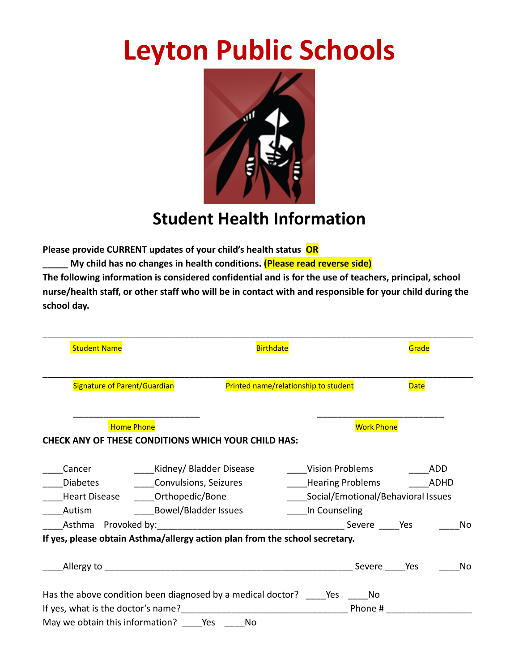# **Leyton Public Schools**



## **Student Health Information**

**Please provide CURRENT updates of your child's health status OR**

**\_\_\_\_\_ My child has no changes in health conditions. (Please read reverse side)**

**The following information is considered confidential and is for the use of teachers, principal, school nurse/health staff, or other staff who will be in contact with and responsible for your child during the school day.**

| <b>Student Name</b>                                                                                                                                                                                                                                                      |                                                                                                                                | <b>Birthdate</b>                     |                                         |                                                               | Grade       |                           |
|--------------------------------------------------------------------------------------------------------------------------------------------------------------------------------------------------------------------------------------------------------------------------|--------------------------------------------------------------------------------------------------------------------------------|--------------------------------------|-----------------------------------------|---------------------------------------------------------------|-------------|---------------------------|
| Signature of Parent/Guardian                                                                                                                                                                                                                                             |                                                                                                                                | Printed name/relationship to student |                                         |                                                               | <b>Date</b> |                           |
| <b>Home Phone</b><br><b>CHECK ANY OF THESE CONDITIONS WHICH YOUR CHILD HAS:</b>                                                                                                                                                                                          |                                                                                                                                |                                      |                                         | <b>Work Phone</b>                                             |             |                           |
| Cancer<br><b>Diabetes</b><br>If yes, please obtain Asthma/allergy action plan from the school secretary.                                                                                                                                                                 | Kidney/ Bladder Disease<br><b>Convulsions, Seizures</b><br>Heart Disease <b>Orthopedic/Bone</b><br>Autism Bowel/Bladder Issues |                                      | <b>Vision Problems</b><br>In Counseling | <b>Hearing Problems</b><br>Social/Emotional/Behavioral Issues |             | ADD<br><b>ADHD</b><br>No. |
|                                                                                                                                                                                                                                                                          |                                                                                                                                |                                      |                                         | Severe Yes                                                    |             | No.                       |
| Has the above condition been diagnosed by a medical doctor? Yes No<br>If yes, what is the doctor's name?<br><u> and the manual contract of yestem and the set of the set of the set of the set of the set of the set of the s</u><br>May we obtain this information? Yes |                                                                                                                                | No                                   |                                         | Phone #                                                       |             |                           |